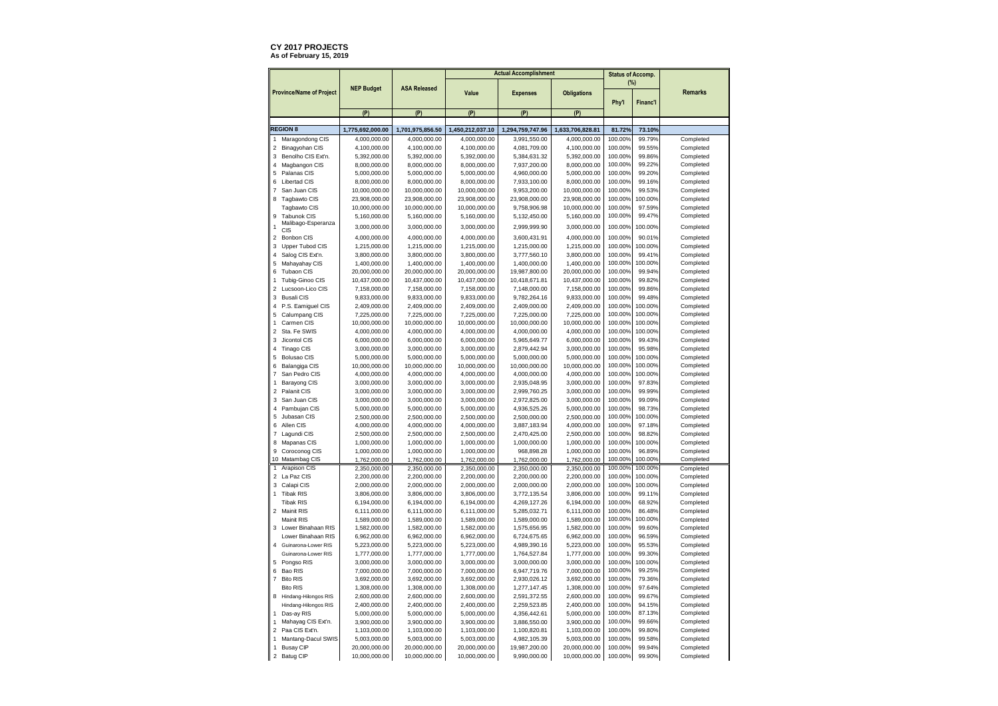## **CY 2017 PROJECTS** As of February 15, 2019

|                                                             |                               |                               | <b>Actual Accomplishment</b>  |                               |                    | <b>Status of Accomp.</b> |          |                |
|-------------------------------------------------------------|-------------------------------|-------------------------------|-------------------------------|-------------------------------|--------------------|--------------------------|----------|----------------|
| <b>Province/Name of Project</b>                             | <b>NEP Budget</b>             | <b>ASA Released</b>           | Value                         | <b>Expenses</b>               | <b>Obligations</b> | (%)<br>Phy'l             | Financ'l | <b>Remarks</b> |
|                                                             | (P)                           | (P)                           | (P)                           | (P)                           | (P)                |                          |          |                |
| <b>REGION 8</b>                                             | 1,775,692,000.00              | 1,701,975,856.50              | 1,450,212,037.10              | 1,294,759,747.96              | 1,633,706,828.81   | 81.72%                   | 73.10%   |                |
| Maragondong CIS<br>$\mathbf{1}$                             | 4,000,000.00                  | 4,000,000.00                  | 4,000,000.00                  | 3,991,550.00                  | 4,000,000.00       | 100.00%                  | 99.79%   | Completed      |
| $\overline{2}$<br>Binagyohan CIS                            | 4,100,000.00                  | 4,100,000.00                  | 4,100,000.00                  | 4,081,709.00                  | 4,100,000.00       | 100.00%                  | 99.55%   | Completed      |
| 3<br>Benolho CIS Ext'n.                                     | 5,392,000.00                  | 5,392,000.00                  | 5,392,000.00                  | 5,384,631.32                  | 5,392,000.00       | 100.00%                  | 99.86%   | Completed      |
| $\overline{4}$<br>Magbangon CIS                             | 8,000,000.00                  | 8,000,000.00                  | 8,000,000.00                  | 7,937,200.00                  | 8,000,000.00       | 100.00%                  | 99.22%   | Completed      |
| 5<br>Palanas CIS                                            | 5,000,000.00                  | 5,000,000.00                  | 5,000,000.00                  | 4,960,000.00                  | 5,000,000.00       | 100.00%                  | 99.20%   | Completed      |
| 6<br>Libertad CIS                                           | 8,000,000.00                  | 8,000,000.00                  | 8,000,000.00                  | 7,933,100.00                  | 8,000,000.00       | 100.00%                  | 99.16%   | Completed      |
| San Juan CIS<br>$\overline{7}$                              | 10,000,000.00                 | 10,000,000.00                 | 10,000,000.00                 | 9,953,200.00                  | 10,000,000.00      | 100.00%                  | 99.53%   | Completed      |
| 8<br>Tagbawto CIS                                           | 23,908,000.00                 | 23,908,000.00                 | 23,908,000.00                 | 23,908,000.00                 | 23,908,000.00      | 100.00%                  | 100.00%  | Completed      |
| Tagbawto CIS                                                | 10,000,000.00                 | 10,000,000.00                 | 10,000,000.00                 | 9,758,906.98                  | 10,000,000.00      | 100.00%                  | 97.59%   | Completed      |
| 9<br>Tabunok CIS                                            | 5,160,000.00                  | 5,160,000.00                  | 5,160,000.00                  | 5,132,450.00                  | 5,160,000.00       | 100.00%                  | 99.47%   | Completed      |
| Malibago-Esperanza<br>1                                     |                               |                               |                               |                               |                    | 100.00%                  | 100.00%  | Completed      |
| CIS                                                         | 3,000,000.00                  | 3,000,000.00                  | 3,000,000.00                  | 2,999,999.90                  | 3,000,000.00       |                          |          |                |
| $\overline{2}$<br>Bonbon CIS                                | 4,000,000.00                  | 4,000,000.00                  | 4,000,000.00                  | 3,600,431.91                  | 4,000,000.00       | 100.00%                  | 90.01%   | Completed      |
| 3<br>Upper Tubod CIS                                        | 1,215,000.00                  | 1,215,000.00                  | 1,215,000.00                  | 1,215,000.00                  | 1,215,000.00       | 100.00%                  | 100.00%  | Completed      |
| $\sqrt{4}$<br>Salog CIS Ext'n.                              | 3,800,000.00                  | 3,800,000.00                  | 3,800,000.00                  | 3,777,560.10                  | 3,800,000.00       | 100.00%                  | 99.41%   | Completed      |
| 5<br>Mahayahay CIS                                          | 1,400,000.00                  | 1,400,000.00                  | 1,400,000.00                  | 1,400,000.00                  | 1,400,000.00       | 100.00%                  | 100.00%  | Completed      |
| 6<br><b>Tubaon CIS</b>                                      | 20,000,000.00                 | 20,000,000.00                 | 20,000,000.00                 | 19,987,800.00                 | 20,000,000.00      | 100.00%                  | 99.94%   | Completed      |
| $\mathbf{1}$<br>Tubig-Ginoo CIS                             | 10,437,000.00                 | 10,437,000.00                 | 10,437,000.00                 | 10,418,671.81                 | 10,437,000.00      | 100.00%                  | 99.82%   | Completed      |
| $\overline{2}$<br>Lucsoon-Lico CIS                          | 7,158,000.00                  | 7,158,000.00                  | 7,158,000.00                  | 7,148,000.00                  | 7,158,000.00       | 100.00%                  | 99.86%   | Completed      |
| 3<br><b>Busali CIS</b>                                      | 9,833,000.00                  | 9,833,000.00                  | 9,833,000.00                  | 9,782,264.16                  | 9,833,000.00       | 100.00%                  | 99.48%   | Completed      |
| $\overline{4}$<br>P.S. Eamiguel CIS                         | 2,409,000.00                  | 2,409,000.00                  | 2,409,000.00                  | 2,409,000.00                  | 2,409,000.00       | 100.00%                  | 100.00%  | Completed      |
| 5<br>Calumpang CIS                                          | 7,225,000.00                  | 7,225,000.00                  | 7,225,000.00                  | 7,225,000.00                  | 7,225,000.00       | 100.00%                  | 100.00%  | Completed      |
| Carmen CIS<br>$\mathbf{1}$                                  | 10,000,000.00                 | 10,000,000.00                 | 10,000,000.00                 | 10,000,000.00                 | 10,000,000.00      | 100.00%                  | 100.00%  | Completed      |
| $\overline{2}$<br>Sta. Fe SWIS                              | 4,000,000.00                  | 4,000,000.00                  | 4,000,000.00                  | 4,000,000.00                  | 4,000,000.00       | 100.00%                  | 100.00%  | Completed      |
| 3<br>Jicontol CIS                                           | 6,000,000.00                  | 6,000,000.00                  | 6,000,000.00                  | 5,965,649.77                  | 6,000,000.00       | 100.00%                  | 99.43%   | Completed      |
| $\overline{4}$<br>Tinago CIS                                | 3,000,000.00                  | 3,000,000.00                  | 3,000,000.00                  | 2,879,442.94                  | 3,000,000.00       | 100.00%                  | 95.98%   | Completed      |
| 5<br><b>Bolusao CIS</b>                                     | 5,000,000.00                  | 5,000,000.00                  | 5,000,000.00                  | 5,000,000.00                  | 5,000,000.00       | 100.00%                  | 100.00%  | Completed      |
| Balangiga CIS<br>6                                          | 10,000,000.00                 | 10,000,000.00                 | 10,000,000.00                 | 10,000,000.00                 | 10,000,000.00      | 100.00%                  | 100.00%  | Completed      |
| San Pedro CIS<br>$\overline{7}$                             | 4,000,000.00                  | 4,000,000.00                  | 4,000,000.00                  | 4,000,000.00                  | 4,000,000.00       | 100.00%                  | 100.00%  | Completed      |
| Barayong CIS<br>1                                           | 3,000,000.00                  | 3,000,000.00                  | 3,000,000.00                  | 2,935,048.95                  | 3,000,000.00       | 100.00%                  | 97.83%   | Completed      |
| $\overline{2}$<br>Palanit CIS                               | 3,000,000.00                  | 3,000,000.00                  | 3,000,000.00                  | 2,999,760.25                  | 3,000,000.00       | 100.00%                  | 99.99%   | Completed      |
| 3<br>San Juan CIS                                           | 3,000,000.00                  | 3,000,000.00                  | 3,000,000.00                  | 2,972,825.00                  | 3,000,000.00       | 100.00%                  | 99.09%   | Completed      |
| $\Delta$<br>Pambujan CIS                                    | 5,000,000.00                  | 5,000,000.00                  | 5,000,000.00                  | 4,936,525.26                  | 5,000,000.00       | 100.00%                  | 98.73%   | Completed      |
| 5<br>Jubasan CIS                                            | 2,500,000.00                  | 2,500,000.00                  | 2,500,000.00                  | 2,500,000.00                  | 2,500,000.00       | 100.00%                  | 100.00%  | Completed      |
| Allen CIS<br>6                                              |                               | 4.000.000.00                  |                               |                               |                    | 100.00%                  | 97.18%   | Completed      |
| $\overline{7}$                                              | 4,000,000.00                  |                               | 4,000,000.00                  | 3,887,183.94                  | 4,000,000.00       | 100.00%                  | 98.82%   | Completed      |
| Lagundi CIS                                                 | 2,500,000.00                  | 2,500,000.00                  | 2,500,000.00                  | 2,470,425.00                  | 2,500,000.00       |                          |          |                |
| 8<br>Mapanas CIS                                            | 1,000,000.00                  | 1,000,000.00                  | 1,000,000.00                  | 1,000,000.00                  | 1,000,000.00       | 100.00%                  | 100.00%  | Completed      |
| Coroconog CIS<br>9                                          | 1,000,000.00                  | 1,000,000.00                  | 1,000,000.00                  | 968,898.28                    | 1,000,000.00       | 100.00%                  | 96.89%   | Completed      |
| 10 Matambag CIS                                             | 1,762,000.00                  | 1,762,000.00                  | 1,762,000.00                  | 1.762.000.00                  | 1.762.000.00       | 100.00%                  | 100.00%  | Completed      |
| Arapison CIS<br>$\mathbf{1}$                                | 2,350,000.00                  | 2,350,000.00                  | 2,350,000.00                  | 2,350,000.00                  | 2,350,000.00       | 100.00%                  | 100.00%  | Completed      |
| $\mathbf 2$<br>La Paz CIS                                   | 2,200,000.00                  | 2,200,000.00                  | 2,200,000.00                  | 2,200,000.00                  | 2,200,000.00       | 100.00%                  | 100.00%  | Completed      |
| 3<br>Calapi CIS                                             | 2,000,000.00                  | 2,000,000.00                  | 2,000,000.00                  | 2,000,000.00                  | 2,000,000.00       | 100.00%                  | 100.00%  | Completed      |
| $\ddot{\phantom{0}}$<br><b>Tibak RIS</b>                    | 3,806,000.00                  | 3,806,000.00                  | 3,806,000.00                  | 3,772,135.54                  | 3,806,000.00       | 100.00%                  | 99.11%   | Completed      |
| <b>Tibak RIS</b>                                            | 6,194,000.00                  | 6,194,000.00                  | 6,194,000.00                  | 4,269,127.26                  | 6,194,000.00       | 100.00%                  | 68.92%   | Completed      |
| $\overline{2}$<br>Mainit RIS                                | 6,111,000.00                  | 6,111,000.00                  | 6,111,000.00                  | 5,285,032.71                  | 6,111,000.00       | 100.00%                  | 86.48%   | Completed      |
| Mainit RIS                                                  | 1,589,000.00                  | 1,589,000.00                  | 1,589,000.00                  | 1,589,000.00                  | 1,589,000.00       | 100.00%                  | 100.00%  | Completed      |
| 3<br>Lower Binahaan RIS                                     | 1,582,000.00                  | 1,582,000.00                  | 1,582,000.00                  | 1,575,656.95                  | 1,582,000.00       | 100.00%                  | 99.60%   | Completed      |
| Lower Binahaan RIS                                          | 6,962,000.00                  | 6,962,000.00                  | 6,962,000.00                  | 6,724,675.65                  | 6,962,000.00       | 100.00%                  | 96.59%   | Completed      |
| Guinarona-Lower RIS<br>$\Delta$                             | 5,223,000.00                  | 5,223,000.00                  | 5,223,000.00                  | 4,989,390.16                  | 5,223,000.00       | 100.00%                  | 95.53%   | Completed      |
| Guinarona-Lower RIS                                         | 1,777,000.00                  | 1,777,000.00                  | 1,777,000.00                  | 1,764,527.84                  | 1,777,000.00       | 100.00%                  | 99.30%   | Completed      |
| 5<br>Pongso RIS                                             | 3,000,000.00                  | 3,000,000.00                  | 3,000,000.00                  | 3,000,000.00                  | 3,000,000.00       | 100.00%                  | 100.00%  | Completed      |
| 6<br>Bao RIS                                                | 7,000,000.00                  | 7,000,000.00                  | 7,000,000.00                  | 6,947,719.76                  | 7,000,000.00       | 100.00%                  | 99.25%   | Completed      |
| $\overline{7}$<br><b>Bito RIS</b>                           | 3,692,000.00                  | 3,692,000.00                  | 3,692,000.00                  | 2,930,026.12                  | 3,692,000.00       | 100.00%                  | 79.36%   | Completed      |
| <b>Bito RIS</b>                                             | 1,308,000.00                  | 1,308,000.00                  | 1,308,000.00                  | 1,277,147.45                  | 1,308,000.00       | 100.00%                  | 97.64%   | Completed      |
| 8<br>Hindang-Hilongos RIS                                   | 2,600,000.00                  | 2,600,000.00                  | 2,600,000.00                  | 2,591,372.55                  | 2,600,000.00       | 100.00%                  | 99.67%   | Completed      |
| Hindang-Hilongos RIS                                        | 2,400,000.00                  | 2,400,000.00                  | 2,400,000.00                  | 2,259,523.85                  | 2,400,000.00       | 100.00%                  | 94.15%   | Completed      |
| Das-ay RIS<br>1                                             | 5,000,000.00                  | 5,000,000.00                  | 5,000,000.00                  | 4,356,442.61                  | 5,000,000.00       | 100.00%                  | 87.13%   | Completed      |
| Mahayag CIS Ext'n.<br>$\mathbf{1}$                          | 3,900,000.00                  | 3,900,000.00                  | 3,900,000.00                  | 3,886,550.00                  | 3,900,000.00       | 100.00%                  | 99.66%   | Completed      |
| $\overline{2}$<br>Paa CIS Ext'n.                            | 1,103,000.00                  | 1,103,000.00                  | 1,103,000.00                  | 1,100,820.81                  | 1,103,000.00       | 100.00%                  | 99.80%   | Completed      |
|                                                             |                               |                               |                               |                               | 5,003,000.00       | 100.00%                  | 99.58%   | Completed      |
|                                                             |                               |                               |                               |                               |                    |                          |          |                |
| Mantang-Dacul SWIS<br>$\mathbf{1}$<br><b>Busay CIP</b><br>1 | 5,003,000.00<br>20,000,000.00 | 5,003,000.00<br>20,000,000.00 | 5,003,000.00<br>20,000,000.00 | 4,982,105.39<br>19,987,200.00 | 20,000,000.00      | 100.00%                  | 99.94%   | Completed      |